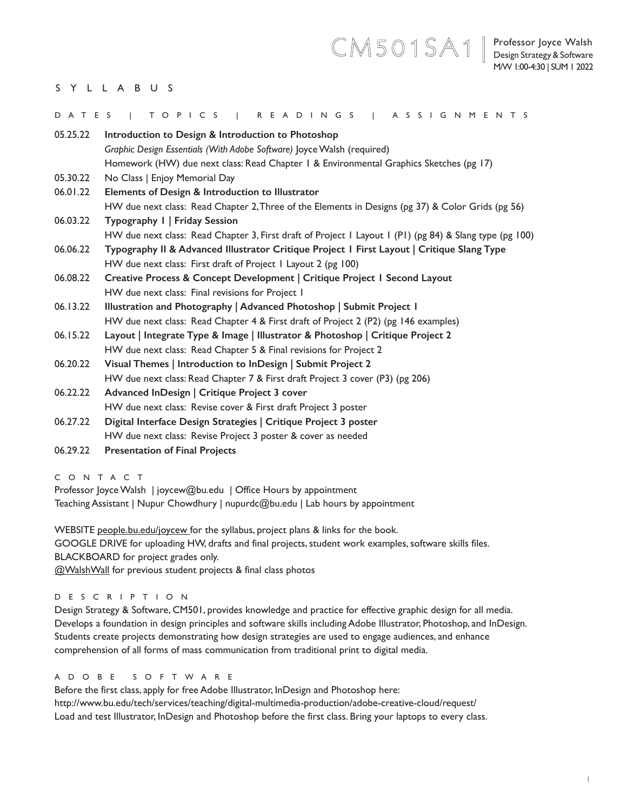# CM501SA1**|**

## SYLLABUS

| DATES    | TOPICS   READINGS   ASSIGNMENTS                                                                         |
|----------|---------------------------------------------------------------------------------------------------------|
| 05.25.22 | Introduction to Design & Introduction to Photoshop                                                      |
|          | Graphic Design Essentials (With Adobe Software) Joyce Walsh (required)                                  |
|          | Homework (HW) due next class: Read Chapter 1 & Environmental Graphics Sketches (pg 17)                  |
| 05.30.22 | No Class   Enjoy Memorial Day                                                                           |
| 06.01.22 | Elements of Design & Introduction to Illustrator                                                        |
|          | HW due next class: Read Chapter 2, Three of the Elements in Designs (pg 37) & Color Grids (pg 56)       |
| 06.03.22 | Typography I   Friday Session                                                                           |
|          | HW due next class: Read Chapter 3, First draft of Project I Layout I (PI) (pg 84) & Slang type (pg 100) |
| 06.06.22 | Typography II & Advanced Illustrator Critique Project I First Layout   Critique Slang Type              |
|          | HW due next class: First draft of Project I Layout 2 (pg 100)                                           |
| 06.08.22 | Creative Process & Concept Development   Critique Project   Second Layout                               |
|          | HW due next class: Final revisions for Project I                                                        |
| 06.13.22 | Illustration and Photography   Advanced Photoshop   Submit Project I                                    |
|          | HW due next class: Read Chapter 4 & First draft of Project 2 (P2) (pg 146 examples)                     |
| 06.15.22 | Layout   Integrate Type & Image   Illustrator & Photoshop   Critique Project 2                          |
|          | HW due next class: Read Chapter 5 & Final revisions for Project 2                                       |
| 06.20.22 | Visual Themes   Introduction to InDesign   Submit Project 2                                             |
|          | HW due next class: Read Chapter 7 & First draft Project 3 cover (P3) (pg 206)                           |
| 06.22.22 | Advanced InDesign   Critique Project 3 cover                                                            |
|          | HW due next class: Revise cover & First draft Project 3 poster                                          |
| 06.27.22 | Digital Interface Design Strategies   Critique Project 3 poster                                         |
|          | HW due next class: Revise Project 3 poster & cover as needed                                            |
| 06.29.22 | <b>Presentation of Final Projects</b>                                                                   |

CONTACT

Professor Joyce Walsh | joycew@bu.edu | Office Hours by appointment Teaching Assistant | Nupur Chowdhury | nupurdc@bu.edu | Lab hours by appointment

WEBSITE people.bu.edu/joycew for the syllabus, project plans & links for the book. GOOGLE DRIVE for uploading HW, drafts and final projects, student work examples, software skills files. BLACKBOARD for project grades only.

@WalshWall for previous student projects & final class photos

#### DESCRIPTION

Design Strategy & Software, CM501, provides knowledge and practice for effective graphic design for all media. Develops a foundation in design principles and software skills including Adobe Illustrator, Photoshop, and InDesign. Students create projects demonstrating how design strategies are used to engage audiences, and enhance comprehension of all forms of mass communication from traditional print to digital media.

#### A D O B E S O F T W A R E

Before the first class, apply for free Adobe Illustrator, InDesign and Photoshop here: http://www.bu.edu/tech/services/teaching/digital-multimedia-production/adobe-creative-cloud/request/ Load and test Illustrator, InDesign and Photoshop before the first class. Bring your laptops to every class.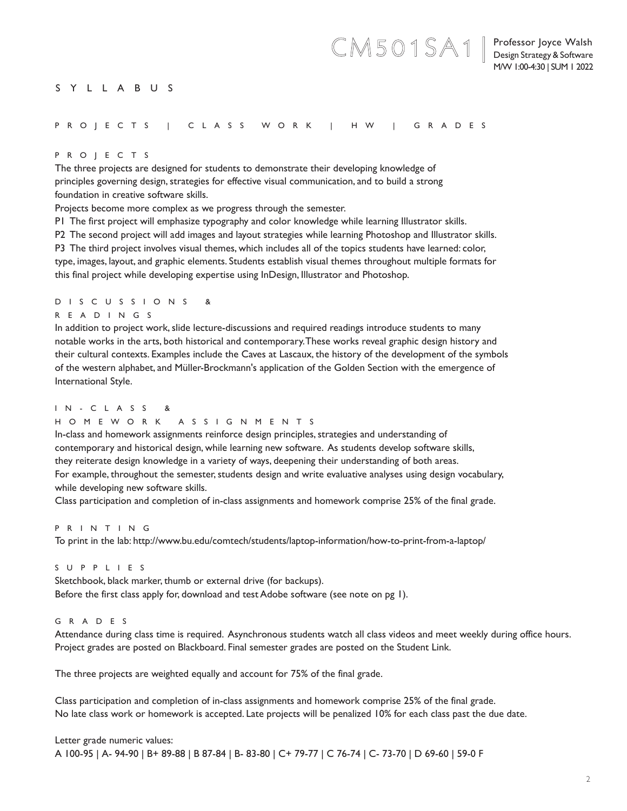#### Professor Joyce Walsh Design Strategy & Software M/W 1:00-4:30 | SUM 1 2022

CM501SA1**|**

## SYLLABUS

#### PROJECTS | CLASS WORK | HW | GRADES

#### PROJECTS

The three projects are designed for students to demonstrate their developing knowledge of principles governing design, strategies for effective visual communication, and to build a strong foundation in creative software skills.

Projects become more complex as we progress through the semester.

P1 The first project will emphasize typography and color knowledge while learning Illustrator skills.

P2 The second project will add images and layout strategies while learning Photoshop and Illustrator skills.

P3 The third project involves visual themes, which includes all of the topics students have learned: color,

type, images, layout, and graphic elements. Students establish visual themes throughout multiple formats for this final project while developing expertise using InDesign, Illustrator and Photoshop.

#### D I S C U S S I O N S &

## READINGS

In addition to project work, slide lecture-discussions and required readings introduce students to many notable works in the arts, both historical and contemporary. These works reveal graphic design history and their cultural contexts. Examples include the Caves at Lascaux, the history of the development of the symbols of the western alphabet, and Müller-Brockmann's application of the Golden Section with the emergence of International Style.

### I N - C L A S S &

## HOMEWORK ASSIGNMENTS

In-class and homework assignments reinforce design principles, strategies and understanding of contemporary and historical design, while learning new software. As students develop software skills, they reiterate design knowledge in a variety of ways, deepening their understanding of both areas. For example, throughout the semester, students design and write evaluative analyses using design vocabulary, while developing new software skills.

Class participation and completion of in-class assignments and homework comprise 25% of the final grade.

## PRINTING

To print in the lab: http://www.bu.edu/comtech/students/laptop-information/how-to-print-from-a-laptop/

## SUPPLIES

Sketchbook, black marker, thumb or external drive (for backups). Before the first class apply for, download and test Adobe software (see note on pg 1).

#### GRADES

Attendance during class time is required. Asynchronous students watch all class videos and meet weekly during office hours. Project grades are posted on Blackboard. Final semester grades are posted on the Student Link.

The three projects are weighted equally and account for 75% of the final grade.

Class participation and completion of in-class assignments and homework comprise 25% of the final grade. No late class work or homework is accepted. Late projects will be penalized 10% for each class past the due date.

Letter grade numeric values: A 100-95 | A- 94-90 | B+ 89-88 | B 87-84 | B- 83-80 | C+ 79-77 | C 76-74 | C- 73-70 | D 69-60 | 59-0 F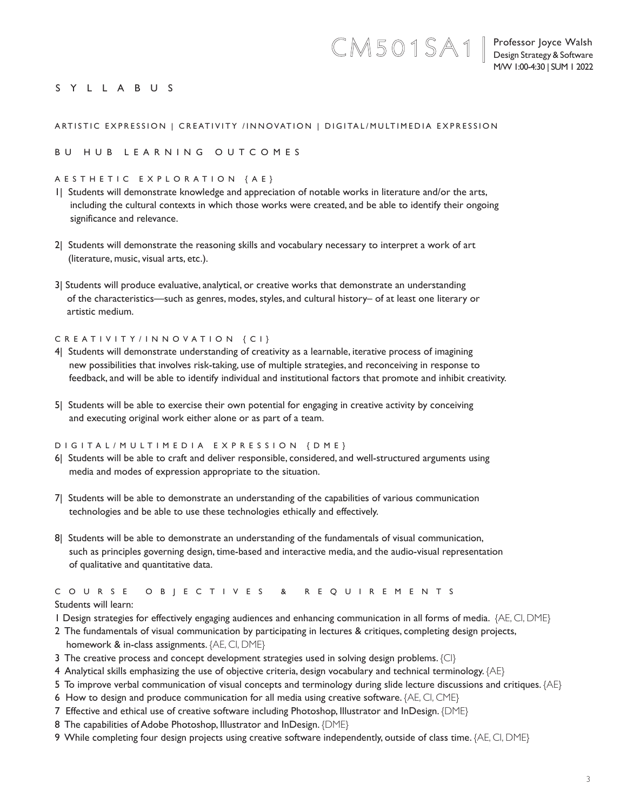Professor Joyce Walsh Design Strategy & Software M/W 1:00-4:30 | SUM 1 2022

## SYLLABUS

## ARTISTIC EXPRESSION | CREATIVITY /INNOVATION | DIGITAL/MULTIMEDIA EXPRESSION

CM501SA1**|**

### BU HUB LEARNING OUTCOMES

#### AESTHETIC EXPLORATION {AE}

- 1| Students will demonstrate knowledge and appreciation of notable works in literature and/or the arts, including the cultural contexts in which those works were created, and be able to identify their ongoing significance and relevance.
- 2| Students will demonstrate the reasoning skills and vocabulary necessary to interpret a work of art (literature, music, visual arts, etc.).
- 3| Students will produce evaluative, analytical, or creative works that demonstrate an understanding of the characteristics—such as genres, modes, styles, and cultural history– of at least one literary or artistic medium.

#### CREATIVITY/INNOVATION {CI}

- 4| Students will demonstrate understanding of creativity as a learnable, iterative process of imagining new possibilities that involves risk-taking, use of multiple strategies, and reconceiving in response to feedback, and will be able to identify individual and institutional factors that promote and inhibit creativity.
- 5| Students will be able to exercise their own potential for engaging in creative activity by conceiving and executing original work either alone or as part of a team.

#### DIGITAL/MULTIMEDIA EXPRESSION {DME}

- 6| Students will be able to craft and deliver responsible, considered, and well-structured arguments using media and modes of expression appropriate to the situation.
- 7| Students will be able to demonstrate an understanding of the capabilities of various communication technologies and be able to use these technologies ethically and effectively.
- 8| Students will be able to demonstrate an understanding of the fundamentals of visual communication, such as principles governing design, time-based and interactive media, and the audio-visual representation of qualitative and quantitative data.

# C O U R S E O B J E C T I V E S & R E Q U I R E M E N T S

## Students will learn:

- 1 Design strategies for effectively engaging audiences and enhancing communication in all forms of media. {AE, CI, DME}
- 2 The fundamentals of visual communication by participating in lectures & critiques, completing design projects, homework & in-class assignments. {AE, CI, DME}
- 3 The creative process and concept development strategies used in solving design problems. {CI}
- 4 Analytical skills emphasizing the use of objective criteria, design vocabulary and technical terminology. {AE}
- 5 To improve verbal communication of visual concepts and terminology during slide lecture discussions and critiques. {AE}
- 6 How to design and produce communication for all media using creative software. {AE, CI, CME}
- 7 Effective and ethical use of creative software including Photoshop, Illustrator and InDesign. {DME}
- 8 The capabilities of Adobe Photoshop, Illustrator and InDesign. {DME}
- 9 While completing four design projects using creative software independently, outside of class time. {AE, CI, DME}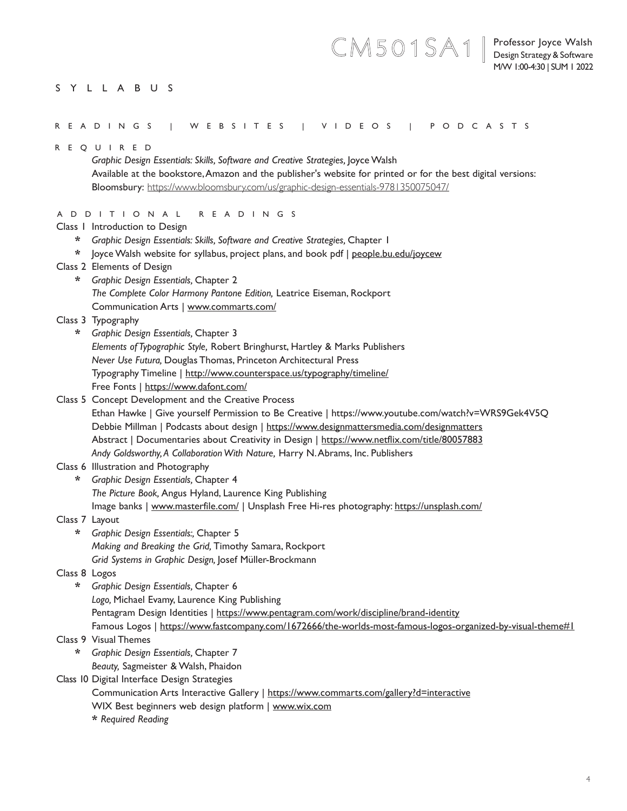## SYLLABUS

CM501SA1**|**

| R E Q U I R E D                                                                                              |
|--------------------------------------------------------------------------------------------------------------|
| Graphic Design Essentials: Skills, Software and Creative Strategies, Joyce Walsh                             |
| Available at the bookstore, Amazon and the publisher's website for printed or for the best digital versions: |
| Bloomsbury: https://www.bloomsbury.com/us/graphic-design-essentials-9781350075047/                           |
|                                                                                                              |
| A D D I T I O N A L<br>R E A D I N G S                                                                       |
| Class I Introduction to Design                                                                               |
| Graphic Design Essentials: Skills, Software and Creative Strategies, Chapter 1<br>*                          |
| loyce Walsh website for syllabus, project plans, and book pdf   people.bu.edu/joycew<br>*                    |
| Class 2 Elements of Design                                                                                   |
| Graphic Design Essentials, Chapter 2<br>*                                                                    |
| The Complete Color Harmony Pantone Edition, Leatrice Eiseman, Rockport                                       |
| Communication Arts   www.commarts.com/                                                                       |
| Class 3 Typography                                                                                           |
| Graphic Design Essentials, Chapter 3<br>*                                                                    |
| Elements of Typographic Style, Robert Bringhurst, Hartley & Marks Publishers                                 |
| Never Use Futura, Douglas Thomas, Princeton Architectural Press                                              |
| Typography Timeline   http://www.counterspace.us/typography/timeline/                                        |
| Free Fonts   https://www.dafont.com/                                                                         |
| Class 5 Concept Development and the Creative Process                                                         |
| Ethan Hawke   Give yourself Permission to Be Creative   https://www.youtube.com/watch?v=WRS9Gek4V5Q          |
| Debbie Millman   Podcasts about design   https://www.designmattersmedia.com/designmatters                    |
| Abstract   Documentaries about Creativity in Design   https://www.netflix.com/title/80057883                 |
| Andy Goldsworthy, A Collaboration With Nature, Harry N. Abrams, Inc. Publishers                              |
| Class 6 Illustration and Photography                                                                         |
| Graphic Design Essentials, Chapter 4<br>*                                                                    |
| The Picture Book, Angus Hyland, Laurence King Publishing                                                     |
| Image banks   www.masterfile.com/   Unsplash Free Hi-res photography: https://unsplash.com/                  |
| Class 7 Layout                                                                                               |
| Graphic Design Essentials:, Chapter 5<br>*                                                                   |
| Making and Breaking the Grid, Timothy Samara, Rockport                                                       |
| Grid Systems in Graphic Design, Josef Müller-Brockmann                                                       |
| Class 8 Logos                                                                                                |
| Graphic Design Essentials, Chapter 6<br>*                                                                    |
| Logo, Michael Evamy, Laurence King Publishing                                                                |
| Pentagram Design Identities   https://www.pentagram.com/work/discipline/brand-identity                       |
| Famous Logos   https://www.fastcompany.com/1672666/the-worlds-most-famous-logos-organized-by-visual-theme#1  |
| Class 9 Visual Themes                                                                                        |
| $\star$<br>Graphic Design Essentials, Chapter 7                                                              |
| Beauty, Sagmeister & Walsh, Phaidon                                                                          |
| Class 10 Digital Interface Design Strategies                                                                 |
| Communication Arts Interactive Gallery   https://www.commarts.com/gallery?d=interactive                      |
| WIX Best beginners web design platform   www.wix.com                                                         |
| * Required Reading                                                                                           |
|                                                                                                              |